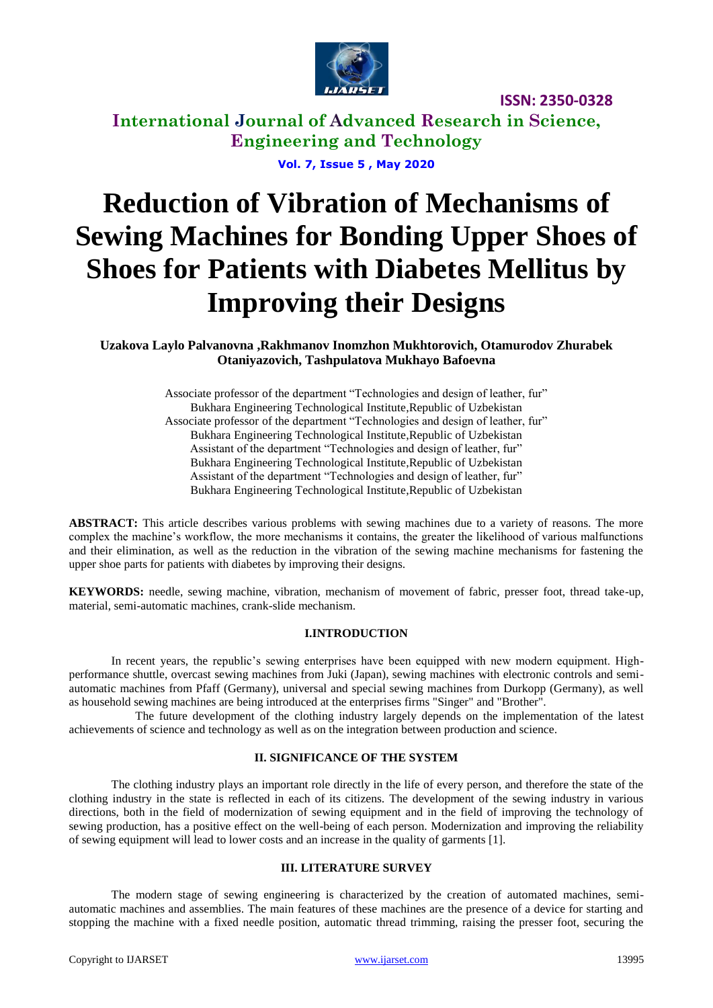

**ISSN: 2350-0328**

**International Journal of Advanced Research in Science, Engineering and Technology**

**Vol. 7, Issue 5 , May 2020**

# **Reduction of Vibration of Mechanisms of Sewing Machines for Bonding Upper Shoes of Shoes for Patients with Diabetes Mellitus by Improving their Designs**

**Uzakova Laylo Palvanovna ,Rakhmanov Inomzhon Mukhtorovich, Otamurodov Zhurabek Otaniyazovich, Tashpulatova Mukhayo Bafoevna**

> Associate professor of the department "Technologies and design of leather, fur" Bukhara Engineering Technological Institute,Republic of Uzbekistan Associate professor of the department "Technologies and design of leather, fur" Bukhara Engineering Technological Institute,Republic of Uzbekistan Assistant of the department "Technologies and design of leather, fur" Bukhara Engineering Technological Institute,Republic of Uzbekistan Assistant of the department "Technologies and design of leather, fur" Bukhara Engineering Technological Institute,Republic of Uzbekistan

**ABSTRACT:** This article describes various problems with sewing machines due to a variety of reasons. The more complex the machine's workflow, the more mechanisms it contains, the greater the likelihood of various malfunctions and their elimination, as well as the reduction in the vibration of the sewing machine mechanisms for fastening the upper shoe parts for patients with diabetes by improving their designs.

**KEYWORDS:** needle, sewing machine, vibration, mechanism of movement of fabric, presser foot, thread take-up, material, semi-automatic machines, crank-slide mechanism.

#### **I.INTRODUCTION**

In recent years, the republic's sewing enterprises have been equipped with new modern equipment. Highperformance shuttle, overcast sewing machines from Juki (Japan), sewing machines with electronic controls and semiautomatic machines from Pfaff (Germany), universal and special sewing machines from Durkopp (Germany), as well as household sewing machines are being introduced at the enterprises firms "Singer" and "Brother".

 The future development of the clothing industry largely depends on the implementation of the latest achievements of science and technology as well as on the integration between production and science.

#### **II. SIGNIFICANCE OF THE SYSTEM**

The clothing industry plays an important role directly in the life of every person, and therefore the state of the clothing industry in the state is reflected in each of its citizens. The development of the sewing industry in various directions, both in the field of modernization of sewing equipment and in the field of improving the technology of sewing production, has a positive effect on the well-being of each person. Modernization and improving the reliability of sewing equipment will lead to lower costs and an increase in the quality of garments [1].

#### **III. LITERATURE SURVEY**

The modern stage of sewing engineering is characterized by the creation of automated machines, semiautomatic machines and assemblies. The main features of these machines are the presence of a device for starting and stopping the machine with a fixed needle position, automatic thread trimming, raising the presser foot, securing the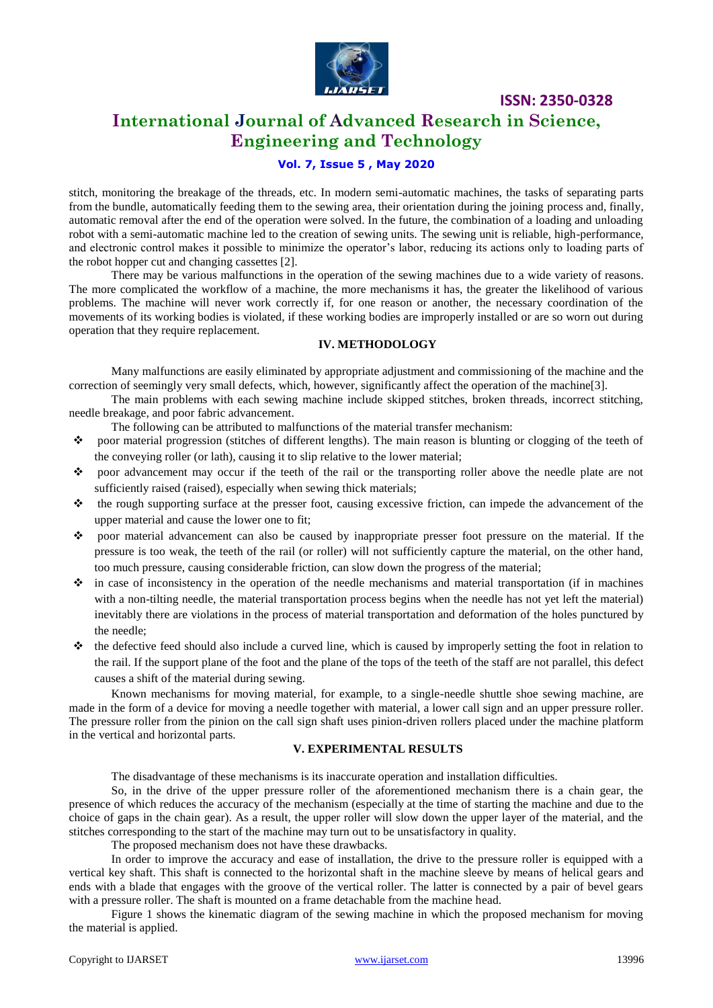

**ISSN: 2350-0328**

### **International Journal of Advanced Research in Science, Engineering and Technology**

#### **Vol. 7, Issue 5 , May 2020**

stitch, monitoring the breakage of the threads, etc. In modern semi-automatic machines, the tasks of separating parts from the bundle, automatically feeding them to the sewing area, their orientation during the joining process and, finally, automatic removal after the end of the operation were solved. In the future, the combination of a loading and unloading robot with a semi-automatic machine led to the creation of sewing units. The sewing unit is reliable, high-performance, and electronic control makes it possible to minimize the operator's labor, reducing its actions only to loading parts of the robot hopper cut and changing cassettes [2].

There may be various malfunctions in the operation of the sewing machines due to a wide variety of reasons. The more complicated the workflow of a machine, the more mechanisms it has, the greater the likelihood of various problems. The machine will never work correctly if, for one reason or another, the necessary coordination of the movements of its working bodies is violated, if these working bodies are improperly installed or are so worn out during operation that they require replacement.

#### **IV. METHODOLOGY**

Many malfunctions are easily eliminated by appropriate adjustment and commissioning of the machine and the correction of seemingly very small defects, which, however, significantly affect the operation of the machine[3].

The main problems with each sewing machine include skipped stitches, broken threads, incorrect stitching, needle breakage, and poor fabric advancement.

The following can be attributed to malfunctions of the material transfer mechanism:

- poor material progression (stitches of different lengths). The main reason is blunting or clogging of the teeth of the conveying roller (or lath), causing it to slip relative to the lower material;
- poor advancement may occur if the teeth of the rail or the transporting roller above the needle plate are not sufficiently raised (raised), especially when sewing thick materials;
- the rough supporting surface at the presser foot, causing excessive friction, can impede the advancement of the upper material and cause the lower one to fit;
- poor material advancement can also be caused by inappropriate presser foot pressure on the material. If the pressure is too weak, the teeth of the rail (or roller) will not sufficiently capture the material, on the other hand, too much pressure, causing considerable friction, can slow down the progress of the material;
- $\cdot$  in case of inconsistency in the operation of the needle mechanisms and material transportation (if in machines with a non-tilting needle, the material transportation process begins when the needle has not yet left the material) inevitably there are violations in the process of material transportation and deformation of the holes punctured by the needle;
- $\triangle$  the defective feed should also include a curved line, which is caused by improperly setting the foot in relation to the rail. If the support plane of the foot and the plane of the tops of the teeth of the staff are not parallel, this defect causes a shift of the material during sewing.

Known mechanisms for moving material, for example, to a single-needle shuttle shoe sewing machine, are made in the form of a device for moving a needle together with material, a lower call sign and an upper pressure roller. The pressure roller from the pinion on the call sign shaft uses pinion-driven rollers placed under the machine platform in the vertical and horizontal parts.

#### **V. EXPERIMENTAL RESULTS**

The disadvantage of these mechanisms is its inaccurate operation and installation difficulties.

So, in the drive of the upper pressure roller of the aforementioned mechanism there is a chain gear, the presence of which reduces the accuracy of the mechanism (especially at the time of starting the machine and due to the choice of gaps in the chain gear). As a result, the upper roller will slow down the upper layer of the material, and the stitches corresponding to the start of the machine may turn out to be unsatisfactory in quality.

The proposed mechanism does not have these drawbacks.

In order to improve the accuracy and ease of installation, the drive to the pressure roller is equipped with a vertical key shaft. This shaft is connected to the horizontal shaft in the machine sleeve by means of helical gears and ends with a blade that engages with the groove of the vertical roller. The latter is connected by a pair of bevel gears with a pressure roller. The shaft is mounted on a frame detachable from the machine head.

Figure 1 shows the kinematic diagram of the sewing machine in which the proposed mechanism for moving the material is applied.